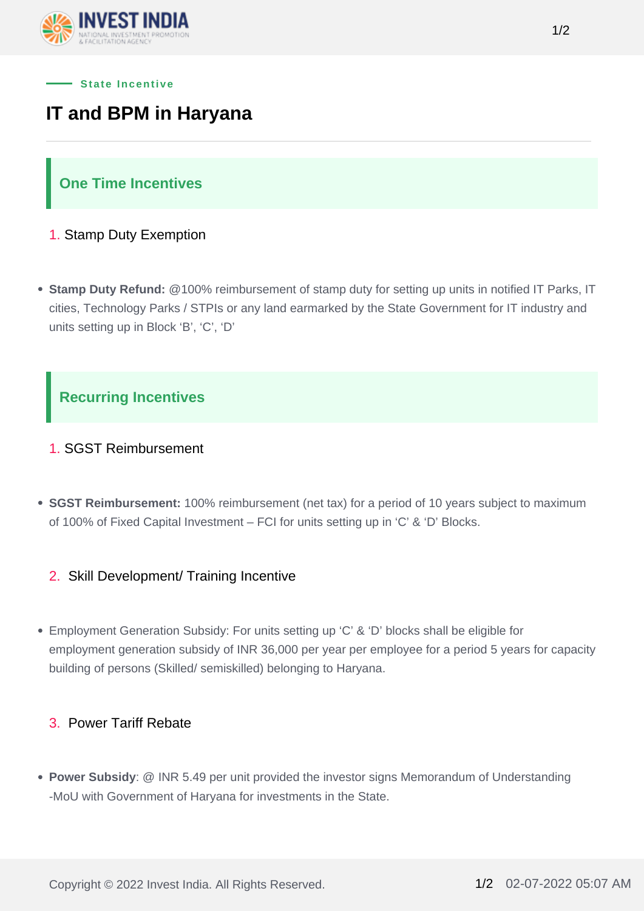



# **IT and BPM in Haryana**

## **One Time Incentives**

- 1. Stamp Duty Exemption
- **Stamp Duty Refund:** @100% reimbursement of stamp duty for setting up units in notified IT Parks, IT cities, Technology Parks / STPIs or any land earmarked by the State Government for IT industry and units setting up in Block 'B', 'C', 'D'

# **Recurring Incentives**

#### 1. SGST Reimbursement

**SGST Reimbursement:** 100% reimbursement (net tax) for a period of 10 years subject to maximum of 100% of Fixed Capital Investment – FCI for units setting up in 'C' & 'D' Blocks.

#### 2. Skill Development/ Training Incentive

Employment Generation Subsidy: For units setting up 'C' & 'D' blocks shall be eligible for employment generation subsidy of INR 36,000 per year per employee for a period 5 years for capacity building of persons (Skilled/ semiskilled) belonging to Haryana.

#### 3. Power Tariff Rebate

**Power Subsidy**: @ INR 5.49 per unit provided the investor signs Memorandum of Understanding -MoU with Government of Haryana for investments in the State.

Copyright © 2022 Invest India. All Rights Reserved. 1/2 02-07-2022 05:07 AM